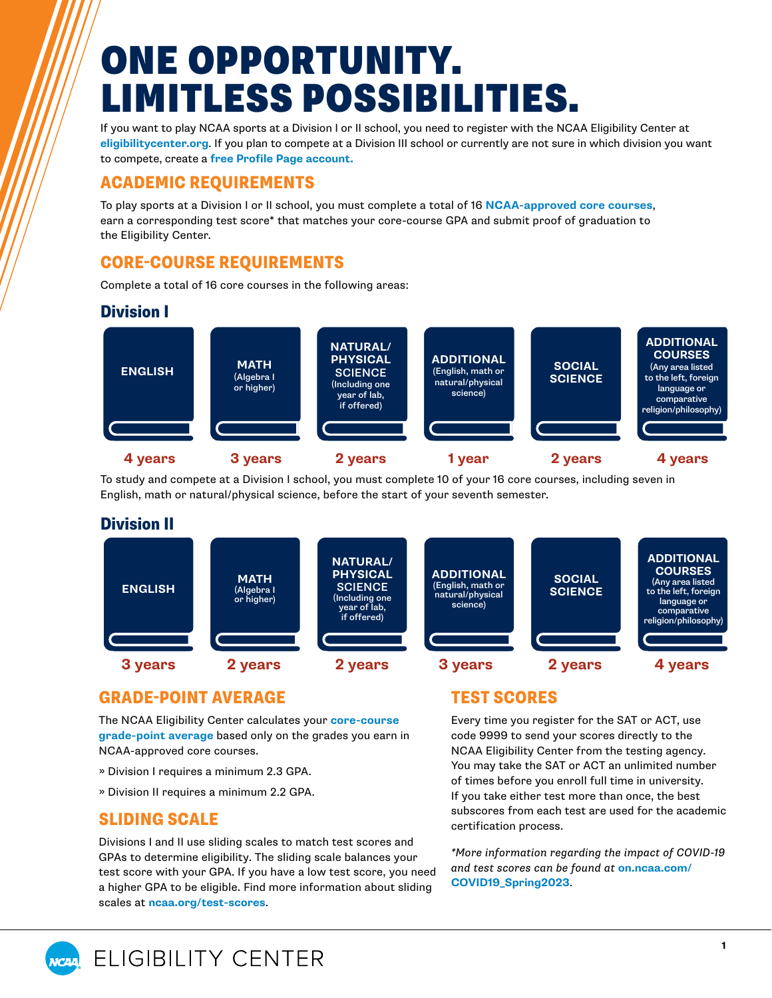## ONE OPPORTUNITY. LIMITLESS POSSIBILITIES.

If you want to play NCAA sports at a Division I or II school, you need to register with the NCAA Eligibility Center at **[eligibilitycenter.org](https://web3.ncaa.org/ecwr3/)**. If you plan to compete at a Division III school or currently are not sure in which division you want to compete, create a **[free Profile Page account.](https://ncaa.egain.cloud/kb/EligibilityHelp/content/KB-2230/What-is-the-difference-between-a-Certification-Account-and-Profile-Page)**

### ACADEMIC REQUIREMENTS

To play sports at a Division I or II school, you must complete a total of 16 **[NCAA-approved core courses](https://on.ncaa.com/CCL)**, earn a corresponding test score\* that matches your core-course GPA and submit proof of graduation to the Eligibility Center.

## CORE-COURSE REQUIREMENTS

Complete a total of 16 core courses in the following areas:

### Division I



To study and compete at a Division I school, you must complete 10 of your 16 core courses, including seven in English, math or natural/physical science, before the start of your seventh semester.

### Division II



### GRADE-POINT AVERAGE

The NCAA Eligibility Center calculates your **[core-course](https://ncaa.egain.cloud/kb/EligibilityHelp/content/KB-2118/How-is-my-core-grade-point-average-GPA-calculated)  [grade-point average](https://ncaa.egain.cloud/kb/EligibilityHelp/content/KB-2118/How-is-my-core-grade-point-average-GPA-calculated)** based only on the grades you earn in NCAA-approved core courses.

- » Division I requires a minimum 2.3 GPA.
- » Division II requires a minimum 2.2 GPA.

### SLIDING SCALE

Divisions I and II use sliding scales to match test scores and GPAs to determine eligibility. The sliding scale balances your test score with your GPA. If you have a low test score, you need a higher GPA to be eligible. Find more information about sliding scales at **[ncaa.org/test-scores](http://www.ncaa.org/student-athletes/future/test-scores)**.

### TEST SCORES

Every time you register for the SAT or ACT, use code 9999 to send your scores directly to the NCAA Eligibility Center from the testing agency. You may take the SAT or ACT an unlimited number of times before you enroll full time in university. If you take either test more than once, the best subscores from each test are used for the academic certification process.

*\*More information regarding the impact of COVID-19 and test scores can be found at* **[on.ncaa.com/](https://on.ncaa.com/COVID19_Spring2023)  [COVID19\\_Spring2023](https://on.ncaa.com/COVID19_Spring2023)**.